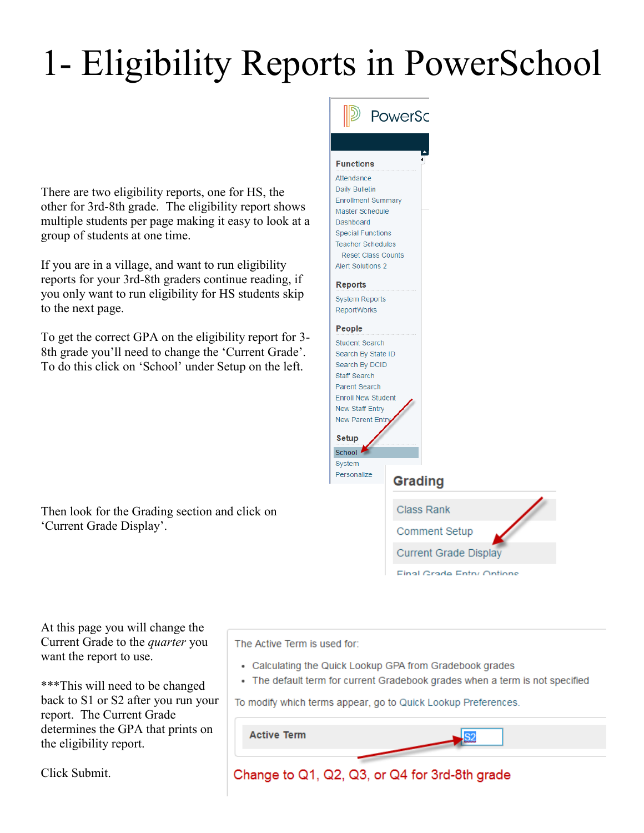## 1- Eligibility Reports in PowerSchool

There are two eligibility reports, one for HS, the other for 3rd-8th grade. The eligibility report shows multiple students per page making it easy to look at a group of students at one time.

If you are in a village, and want to run eligibility reports for your 3rd-8th graders continue reading, if you only want to run eligibility for HS students skip to the next page.

To get the correct GPA on the eligibility report for 3- 8th grade you'll need to change the 'Current Grade'. To do this click on 'School' under Setup on the left.

Then look for the Grading section and click on 'Current Grade Display'.



At this page you will change the Current Grade to the *quarter* you want the report to use.

\*\*\*This will need to be changed back to S1 or S2 after you run your report. The Current Grade determines the GPA that prints on the eligibility report.

Click Submit.

The Active Term is used for:

- Calculating the Quick Lookup GPA from Gradebook grades
- The default term for current Gradebook grades when a term is not specified

 $\overline{\text{S2}}$ 

To modify which terms appear, go to Quick Lookup Preferences.

**Active Term** 

Change to Q1, Q2, Q3, or Q4 for 3rd-8th grade